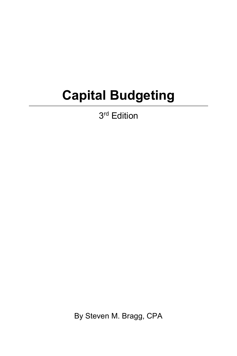## **Capital Budgeting**

3<sup>rd</sup> Edition

By Steven M. Bragg, CPA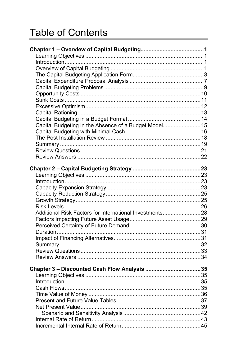## **Table of Contents**

| Capital Budgeting in the Absence of a Budget Model 15   |  |
|---------------------------------------------------------|--|
|                                                         |  |
|                                                         |  |
|                                                         |  |
|                                                         |  |
|                                                         |  |
|                                                         |  |
|                                                         |  |
|                                                         |  |
|                                                         |  |
|                                                         |  |
|                                                         |  |
|                                                         |  |
| Additional Risk Factors for International Investments28 |  |
|                                                         |  |
|                                                         |  |
|                                                         |  |
|                                                         |  |
|                                                         |  |
|                                                         |  |
|                                                         |  |
|                                                         |  |
|                                                         |  |
|                                                         |  |
|                                                         |  |
|                                                         |  |
|                                                         |  |
|                                                         |  |
|                                                         |  |
|                                                         |  |
|                                                         |  |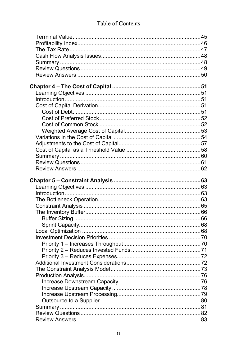## Table of Contents